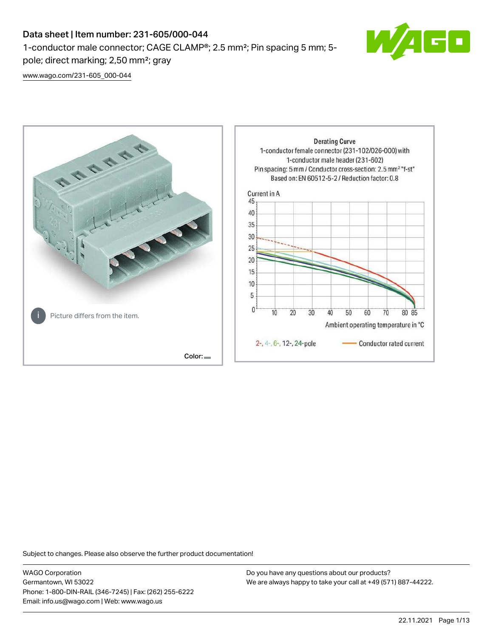# Data sheet | Item number: 231-605/000-044

1-conductor male connector; CAGE CLAMP®; 2.5 mm²; Pin spacing 5 mm; 5 pole; direct marking; 2,50 mm²; gray

 $\blacksquare$ 

[www.wago.com/231-605\\_000-044](http://www.wago.com/231-605_000-044)



Subject to changes. Please also observe the further product documentation!

WAGO Corporation Germantown, WI 53022 Phone: 1-800-DIN-RAIL (346-7245) | Fax: (262) 255-6222 Email: info.us@wago.com | Web: www.wago.us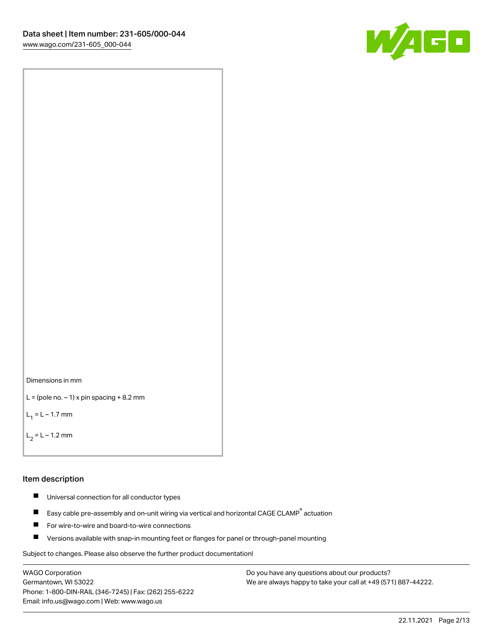



```
L = (pole no. -1) x pin spacing +8.2 mm
```
 $L_1 = L - 1.7$  mm

```
L_2 = L - 1.2 mm
```
#### Item description

- $\blacksquare$ Universal connection for all conductor types
- Easy cable pre-assembly and on-unit wiring via vertical and horizontal CAGE CLAMP<sup>®</sup> actuation  $\blacksquare$
- $\blacksquare$ For wire-to-wire and board-to-wire connections
- $\blacksquare$ Versions available with snap-in mounting feet or flanges for panel or through-panel mounting

Subject to changes. Please also observe the further product documentation!

WAGO Corporation Germantown, WI 53022 Phone: 1-800-DIN-RAIL (346-7245) | Fax: (262) 255-6222 Email: info.us@wago.com | Web: www.wago.us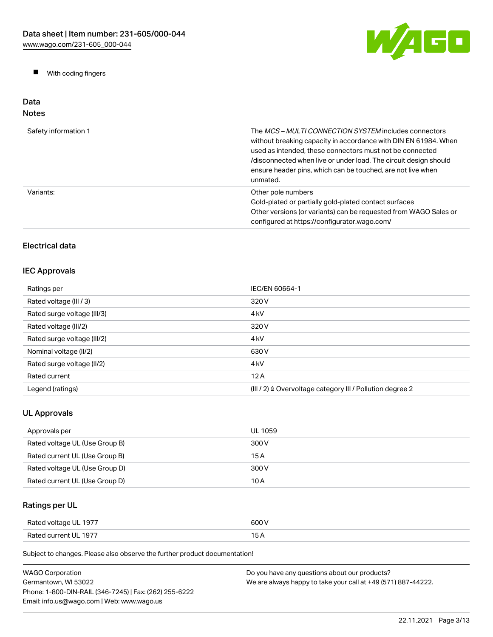W/AGO

 $\blacksquare$ With coding fingers

#### Data Notes

| Safety information 1 | The <i>MCS - MULTI CONNECTION SYSTEM</i> includes connectors<br>without breaking capacity in accordance with DIN EN 61984. When<br>used as intended, these connectors must not be connected<br>/disconnected when live or under load. The circuit design should<br>ensure header pins, which can be touched, are not live when<br>unmated. |
|----------------------|--------------------------------------------------------------------------------------------------------------------------------------------------------------------------------------------------------------------------------------------------------------------------------------------------------------------------------------------|
| Variants:            | Other pole numbers<br>Gold-plated or partially gold-plated contact surfaces<br>Other versions (or variants) can be requested from WAGO Sales or<br>configured at https://configurator.wago.com/                                                                                                                                            |

# Electrical data

## IEC Approvals

| Ratings per                 | IEC/EN 60664-1                                                       |
|-----------------------------|----------------------------------------------------------------------|
| Rated voltage (III / 3)     | 320 V                                                                |
| Rated surge voltage (III/3) | 4 <sub>kV</sub>                                                      |
| Rated voltage (III/2)       | 320 V                                                                |
| Rated surge voltage (III/2) | 4 <sub>k</sub> V                                                     |
| Nominal voltage (II/2)      | 630 V                                                                |
| Rated surge voltage (II/2)  | 4 <sub>k</sub> V                                                     |
| Rated current               | 12A                                                                  |
| Legend (ratings)            | (III / 2) $\triangleq$ Overvoltage category III / Pollution degree 2 |

# UL Approvals

| Approvals per                  | UL 1059 |
|--------------------------------|---------|
| Rated voltage UL (Use Group B) | 300 V   |
| Rated current UL (Use Group B) | 15 A    |
| Rated voltage UL (Use Group D) | 300 V   |
| Rated current UL (Use Group D) | 10 A    |

# Ratings per UL

| Rated voltage UL 1977 | 600 V |
|-----------------------|-------|
| Rated current UL 1977 | . .   |

Subject to changes. Please also observe the further product documentation!

| <b>WAGO Corporation</b>                                | Do you have any questions about our products?                 |
|--------------------------------------------------------|---------------------------------------------------------------|
| Germantown. WI 53022                                   | We are always happy to take your call at +49 (571) 887-44222. |
| Phone: 1-800-DIN-RAIL (346-7245)   Fax: (262) 255-6222 |                                                               |
| Email: info.us@wago.com   Web: www.wago.us             |                                                               |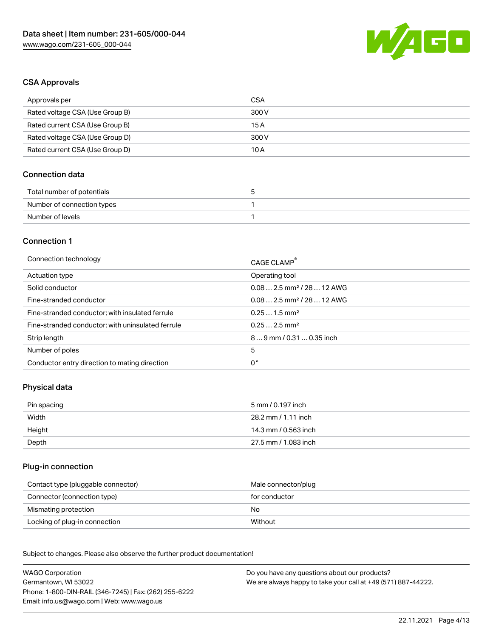

## CSA Approvals

| Approvals per                   | CSA   |
|---------------------------------|-------|
| Rated voltage CSA (Use Group B) | 300 V |
| Rated current CSA (Use Group B) | 15 A  |
| Rated voltage CSA (Use Group D) | 300 V |
| Rated current CSA (Use Group D) | 10 A  |

## Connection data

| Total number of potentials |  |
|----------------------------|--|
| Number of connection types |  |
| Number of levels           |  |

## Connection 1

| Connection technology                             | CAGE CLAMP <sup>®</sup>                 |
|---------------------------------------------------|-----------------------------------------|
| Actuation type                                    | Operating tool                          |
| Solid conductor                                   | $0.082.5$ mm <sup>2</sup> / 28  12 AWG  |
| Fine-stranded conductor                           | $0.08$ 2.5 mm <sup>2</sup> / 28  12 AWG |
| Fine-stranded conductor; with insulated ferrule   | $0.251.5$ mm <sup>2</sup>               |
| Fine-stranded conductor; with uninsulated ferrule | $0.252.5$ mm <sup>2</sup>               |
| Strip length                                      | $89$ mm / 0.31 $$ 0.35 inch             |
| Number of poles                                   | 5                                       |
| Conductor entry direction to mating direction     | 0°                                      |

## Physical data

| Pin spacing | 5 mm / 0.197 inch    |
|-------------|----------------------|
| Width       | 28.2 mm / 1.11 inch  |
| Height      | 14.3 mm / 0.563 inch |
| Depth       | 27.5 mm / 1.083 inch |

## Plug-in connection

| Contact type (pluggable connector) | Male connector/plug |
|------------------------------------|---------------------|
| Connector (connection type)        | for conductor       |
| Mismating protection               | No                  |
| Locking of plug-in connection      | Without             |

Subject to changes. Please also observe the further product documentation! Material data

| <b>WAGO Corporation</b>                                | Do you have any questions about our products?                 |
|--------------------------------------------------------|---------------------------------------------------------------|
| Germantown, WI 53022                                   | We are always happy to take your call at +49 (571) 887-44222. |
| Phone: 1-800-DIN-RAIL (346-7245)   Fax: (262) 255-6222 |                                                               |
| Email: info.us@wago.com   Web: www.wago.us             |                                                               |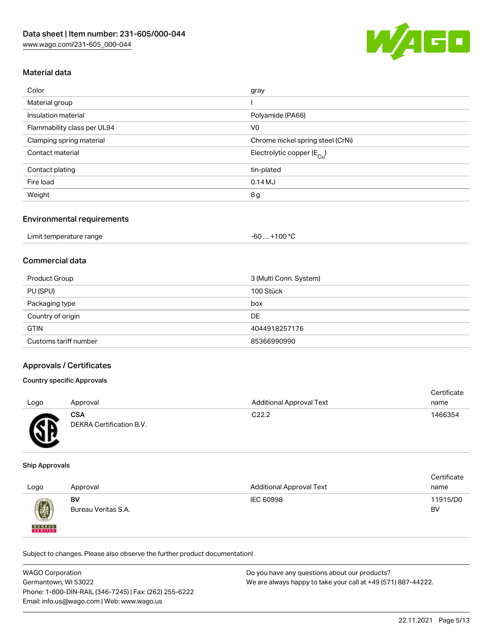

## Material data

| Color                       | gray                                   |
|-----------------------------|----------------------------------------|
| Material group              |                                        |
| Insulation material         | Polyamide (PA66)                       |
| Flammability class per UL94 | V <sub>0</sub>                         |
| Clamping spring material    | Chrome nickel spring steel (CrNi)      |
| Contact material            | Electrolytic copper $(E_{\text{Cul}})$ |
| Contact plating             | tin-plated                             |
| Fire load                   | 0.14M                                  |
| Weight                      | 8g                                     |
|                             |                                        |

#### Environmental requirements

| Limit temperature range | . +100 °C<br>-60 … |
|-------------------------|--------------------|
|-------------------------|--------------------|

### Commercial data

| Product Group         | 3 (Multi Conn. System) |
|-----------------------|------------------------|
| PU (SPU)              | 100 Stück              |
| Packaging type        | box                    |
| Country of origin     | DE                     |
| <b>GTIN</b>           | 4044918257176          |
| Customs tariff number | 85366990990            |

## Approvals / Certificates

## Country specific Approvals

| Logo | Approval                               | <b>Additional Approval Text</b> | Certificate<br>name |
|------|----------------------------------------|---------------------------------|---------------------|
| Æ    | <b>CSA</b><br>DEKRA Certification B.V. | C <sub>22.2</sub>               | 1466354             |

#### Ship Approvals

| Logo          | Approval            | <b>Additional Approval Text</b> | Certificate<br>name |
|---------------|---------------------|---------------------------------|---------------------|
| 0             | BV                  | IEC 60998                       | 11915/D0            |
| <b>BUREAU</b> | Bureau Veritas S.A. |                                 | BV                  |

Subject to changes. Please also observe the further product documentation!

| <b>WAGO Corporation</b>                                | Do you have any questions about our products?                 |
|--------------------------------------------------------|---------------------------------------------------------------|
| Germantown. WI 53022                                   | We are always happy to take your call at +49 (571) 887-44222. |
| Phone: 1-800-DIN-RAIL (346-7245)   Fax: (262) 255-6222 |                                                               |
| Email: info.us@wago.com   Web: www.wago.us             |                                                               |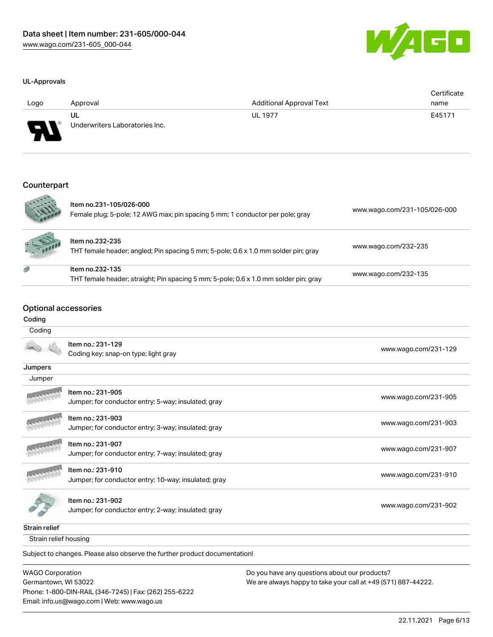



| Logo                       | Approval                             | <b>Additional Approval Text</b> | Certificate<br>name |
|----------------------------|--------------------------------------|---------------------------------|---------------------|
| $\boldsymbol{\mathcal{H}}$ | UL<br>Underwriters Laboratories Inc. | <b>UL 1977</b>                  | E45171              |
|                            |                                      |                                 |                     |

## Counterpart

|        | Item no.231-105/026-000<br>Female plug; 5-pole; 12 AWG max; pin spacing 5 mm; 1 conductor per pole; gray | www.wago.com/231-105/026-000 |
|--------|----------------------------------------------------------------------------------------------------------|------------------------------|
| 1.6000 | Item no.232-235<br>THT female header; angled; Pin spacing 5 mm; 5-pole; 0.6 x 1.0 mm solder pin; gray    | www.wago.com/232-235         |
| 感      | Item no.232-135<br>THT female header; straight; Pin spacing 5 mm; 5-pole; 0.6 x 1.0 mm solder pin; gray  | www.wago.com/232-135         |

## Optional accessories

Email: info.us@wago.com | Web: www.wago.us

## Coding

| oou⊪ıy                  |                                                                            |                                                               |
|-------------------------|----------------------------------------------------------------------------|---------------------------------------------------------------|
| Coding                  |                                                                            |                                                               |
|                         | Item no.: 231-129<br>Coding key; snap-on type; light gray                  | www.wago.com/231-129                                          |
| Jumpers                 |                                                                            |                                                               |
| Jumper                  |                                                                            |                                                               |
|                         |                                                                            |                                                               |
|                         | Item no.: 231-905                                                          | www.wago.com/231-905                                          |
|                         | Jumper; for conductor entry; 5-way; insulated; gray                        |                                                               |
|                         | Item no.: 231-903                                                          |                                                               |
|                         | Jumper; for conductor entry; 3-way; insulated; gray                        | www.wago.com/231-903                                          |
|                         | Item no.: 231-907                                                          |                                                               |
|                         | Jumper; for conductor entry; 7-way; insulated; gray                        | www.wago.com/231-907                                          |
|                         | Item no.: 231-910                                                          |                                                               |
|                         | Jumper; for conductor entry; 10-way; insulated; gray                       | www.wago.com/231-910                                          |
|                         | Item no.: 231-902                                                          |                                                               |
|                         | Jumper; for conductor entry; 2-way; insulated; gray                        | www.wago.com/231-902                                          |
| <b>Strain relief</b>    |                                                                            |                                                               |
| Strain relief housing   |                                                                            |                                                               |
|                         | Subject to changes. Please also observe the further product documentation! |                                                               |
| <b>WAGO Corporation</b> |                                                                            | Do you have any questions about our products?                 |
| Germantown, WI 53022    |                                                                            | We are always happy to take your call at +49 (571) 887-44222. |
|                         | Phone: 1-800-DIN-RAIL (346-7245)   Fax: (262) 255-6222                     |                                                               |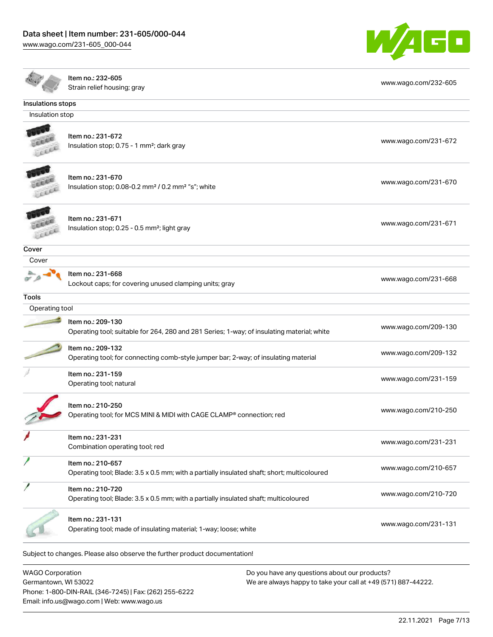[www.wago.com/231-605\\_000-044](http://www.wago.com/231-605_000-044)



|                   | Item no.: 232-605                                                                                                | www.wago.com/232-605 |
|-------------------|------------------------------------------------------------------------------------------------------------------|----------------------|
|                   | Strain relief housing; gray                                                                                      |                      |
| Insulations stops |                                                                                                                  |                      |
| Insulation stop   |                                                                                                                  |                      |
|                   | Item no.: 231-672<br>Insulation stop; 0.75 - 1 mm <sup>2</sup> ; dark gray                                       | www.wago.com/231-672 |
|                   | Item no.: 231-670<br>Insulation stop; 0.08-0.2 mm <sup>2</sup> / 0.2 mm <sup>2</sup> "s"; white                  | www.wago.com/231-670 |
|                   | Item no.: 231-671<br>Insulation stop; 0.25 - 0.5 mm <sup>2</sup> ; light gray                                    | www.wago.com/231-671 |
| Cover             |                                                                                                                  |                      |
| Cover             |                                                                                                                  |                      |
|                   | Item no.: 231-668<br>Lockout caps; for covering unused clamping units; gray                                      | www.wago.com/231-668 |
| <b>Tools</b>      |                                                                                                                  |                      |
| Operating tool    |                                                                                                                  |                      |
|                   | Item no.: 209-130<br>Operating tool; suitable for 264, 280 and 281 Series; 1-way; of insulating material; white  | www.wago.com/209-130 |
|                   | Item no.: 209-132<br>Operating tool; for connecting comb-style jumper bar; 2-way; of insulating material         | www.wago.com/209-132 |
|                   | Item no.: 231-159<br>Operating tool; natural                                                                     | www.wago.com/231-159 |
|                   | Item no.: 210-250<br>Operating tool; for MCS MINI & MIDI with CAGE CLAMP® connection; red                        | www.wago.com/210-250 |
|                   | Item no.: 231-231<br>Combination operating tool; red                                                             | www.wago.com/231-231 |
|                   | Item no.: 210-657<br>Operating tool; Blade: 3.5 x 0.5 mm; with a partially insulated shaft; short; multicoloured | www.wago.com/210-657 |
|                   | Item no.: 210-720<br>Operating tool; Blade: 3.5 x 0.5 mm; with a partially insulated shaft; multicoloured        | www.wago.com/210-720 |
|                   | Item no.: 231-131<br>Operating tool; made of insulating material; 1-way; loose; white                            | www.wago.com/231-131 |
|                   | Subject to changes. Please also observe the further product documentation!                                       |                      |

| WAGO Corporation                                       |
|--------------------------------------------------------|
| Germantown. WI 53022                                   |
| Phone: 1-800-DIN-RAIL (346-7245)   Fax: (262) 255-6222 |
| Email: info.us@wago.com   Web: www.wago.us             |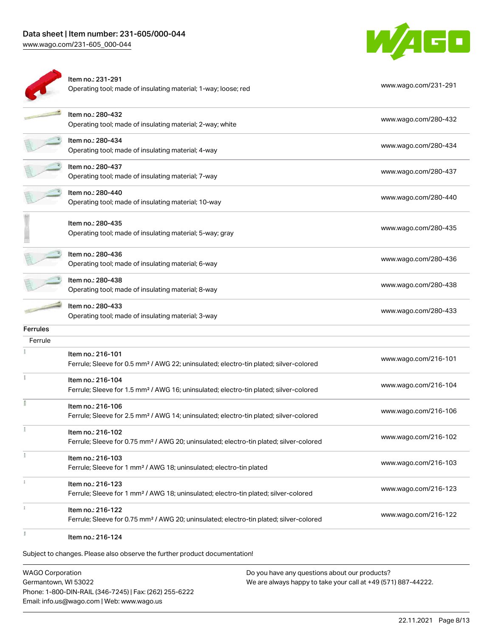[www.wago.com/231-605\\_000-044](http://www.wago.com/231-605_000-044)



|                 | Item no.: 231-291<br>Operating tool; made of insulating material; 1-way; loose; red                                     | www.wago.com/231-291 |
|-----------------|-------------------------------------------------------------------------------------------------------------------------|----------------------|
|                 | Item no.: 280-432<br>Operating tool; made of insulating material; 2-way; white                                          | www.wago.com/280-432 |
|                 | Item no.: 280-434<br>Operating tool; made of insulating material; 4-way                                                 | www.wago.com/280-434 |
|                 | Item no.: 280-437<br>Operating tool; made of insulating material; 7-way                                                 | www.wago.com/280-437 |
|                 | Item no.: 280-440<br>Operating tool; made of insulating material; 10-way                                                | www.wago.com/280-440 |
|                 | Item no.: 280-435<br>Operating tool; made of insulating material; 5-way; gray                                           | www.wago.com/280-435 |
|                 | Item no.: 280-436<br>Operating tool; made of insulating material; 6-way                                                 | www.wago.com/280-436 |
|                 | Item no.: 280-438<br>Operating tool; made of insulating material; 8-way                                                 | www.wago.com/280-438 |
|                 | Item no.: 280-433<br>Operating tool; made of insulating material; 3-way                                                 | www.wago.com/280-433 |
| <b>Ferrules</b> |                                                                                                                         |                      |
| Ferrule         |                                                                                                                         |                      |
|                 | Item no.: 216-101<br>Ferrule; Sleeve for 0.5 mm <sup>2</sup> / AWG 22; uninsulated; electro-tin plated; silver-colored  | www.wago.com/216-101 |
|                 | Item no.: 216-104<br>Ferrule; Sleeve for 1.5 mm <sup>2</sup> / AWG 16; uninsulated; electro-tin plated; silver-colored  | www.wago.com/216-104 |
|                 | Item no.: 216-106<br>Ferrule; Sleeve for 2.5 mm <sup>2</sup> / AWG 14; uninsulated; electro-tin plated; silver-colored  | www.wago.com/216-106 |
|                 | Item no.: 216-102<br>Ferrule; Sleeve for 0.75 mm <sup>2</sup> / AWG 20; uninsulated; electro-tin plated; silver-colored | www.wago.com/216-102 |
|                 | Item no.: 216-103<br>Ferrule; Sleeve for 1 mm <sup>2</sup> / AWG 18; uninsulated; electro-tin plated                    | www.wago.com/216-103 |
|                 | Item no.: 216-123<br>Ferrule; Sleeve for 1 mm <sup>2</sup> / AWG 18; uninsulated; electro-tin plated; silver-colored    | www.wago.com/216-123 |
|                 | Item no.: 216-122<br>Ferrule; Sleeve for 0.75 mm <sup>2</sup> / AWG 20; uninsulated; electro-tin plated; silver-colored | www.wago.com/216-122 |
|                 | Item no.: 216-124                                                                                                       |                      |
|                 | Subject to changes. Please also observe the further product documentation!                                              |                      |

WAGO Corporation Germantown, WI 53022 Phone: 1-800-DIN-RAIL (346-7245) | Fax: (262) 255-6222 Email: info.us@wago.com | Web: www.wago.us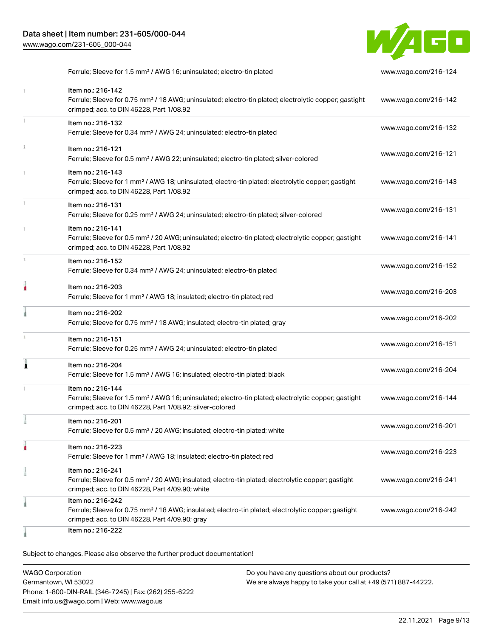

Ferrule; Sleeve for 1.5 mm² / AWG 16; uninsulated; electro-tin plated [www.wago.com/216-124](http://www.wago.com/216-124)

| Item no.: 216-142<br>Ferrule; Sleeve for 0.75 mm <sup>2</sup> / 18 AWG; uninsulated; electro-tin plated; electrolytic copper; gastight<br>crimped; acc. to DIN 46228, Part 1/08.92                | www.wago.com/216-142 |
|---------------------------------------------------------------------------------------------------------------------------------------------------------------------------------------------------|----------------------|
| Item no.: 216-132<br>Ferrule; Sleeve for 0.34 mm <sup>2</sup> / AWG 24; uninsulated; electro-tin plated                                                                                           | www.wago.com/216-132 |
| Item no.: 216-121<br>Ferrule; Sleeve for 0.5 mm <sup>2</sup> / AWG 22; uninsulated; electro-tin plated; silver-colored                                                                            | www.wago.com/216-121 |
| Item no.: 216-143<br>Ferrule; Sleeve for 1 mm <sup>2</sup> / AWG 18; uninsulated; electro-tin plated; electrolytic copper; gastight<br>crimped; acc. to DIN 46228, Part 1/08.92                   | www.wago.com/216-143 |
| Item no.: 216-131<br>Ferrule; Sleeve for 0.25 mm <sup>2</sup> / AWG 24; uninsulated; electro-tin plated; silver-colored                                                                           | www.wago.com/216-131 |
| Item no.: 216-141<br>Ferrule; Sleeve for 0.5 mm <sup>2</sup> / 20 AWG; uninsulated; electro-tin plated; electrolytic copper; gastight<br>crimped; acc. to DIN 46228, Part 1/08.92                 | www.wago.com/216-141 |
| Item no.: 216-152<br>Ferrule; Sleeve for 0.34 mm <sup>2</sup> / AWG 24; uninsulated; electro-tin plated                                                                                           | www.wago.com/216-152 |
| Item no.: 216-203<br>Ferrule; Sleeve for 1 mm <sup>2</sup> / AWG 18; insulated; electro-tin plated; red                                                                                           | www.wago.com/216-203 |
| Item no.: 216-202<br>Ferrule; Sleeve for 0.75 mm <sup>2</sup> / 18 AWG; insulated; electro-tin plated; gray                                                                                       | www.wago.com/216-202 |
| Item no.: 216-151<br>Ferrule; Sleeve for 0.25 mm <sup>2</sup> / AWG 24; uninsulated; electro-tin plated                                                                                           | www.wago.com/216-151 |
| Item no.: 216-204<br>Ferrule; Sleeve for 1.5 mm <sup>2</sup> / AWG 16; insulated; electro-tin plated; black                                                                                       | www.wago.com/216-204 |
| Item no.: 216-144<br>Ferrule; Sleeve for 1.5 mm <sup>2</sup> / AWG 16; uninsulated; electro-tin plated; electrolytic copper; gastight<br>crimped; acc. to DIN 46228, Part 1/08.92; silver-colored | www.wago.com/216-144 |
| Item no.: 216-201<br>Ferrule; Sleeve for 0.5 mm <sup>2</sup> / 20 AWG; insulated; electro-tin plated; white                                                                                       | www.wago.com/216-201 |
| Item no.: 216-223<br>Ferrule; Sleeve for 1 mm <sup>2</sup> / AWG 18; insulated; electro-tin plated; red                                                                                           | www.wago.com/216-223 |
| Item no.: 216-241<br>Ferrule; Sleeve for 0.5 mm <sup>2</sup> / 20 AWG; insulated; electro-tin plated; electrolytic copper; gastight<br>crimped; acc. to DIN 46228, Part 4/09.90; white            | www.wago.com/216-241 |
| Item no.: 216-242<br>Ferrule; Sleeve for 0.75 mm <sup>2</sup> / 18 AWG; insulated; electro-tin plated; electrolytic copper; gastight<br>crimped; acc. to DIN 46228, Part 4/09.90; gray            | www.wago.com/216-242 |
| Item no.: 216-222                                                                                                                                                                                 |                      |

Subject to changes. Please also observe the further product documentation!

WAGO Corporation Germantown, WI 53022 Phone: 1-800-DIN-RAIL (346-7245) | Fax: (262) 255-6222 Email: info.us@wago.com | Web: www.wago.us Do you have any questions about our products? We are always happy to take your call at +49 (571) 887-44222.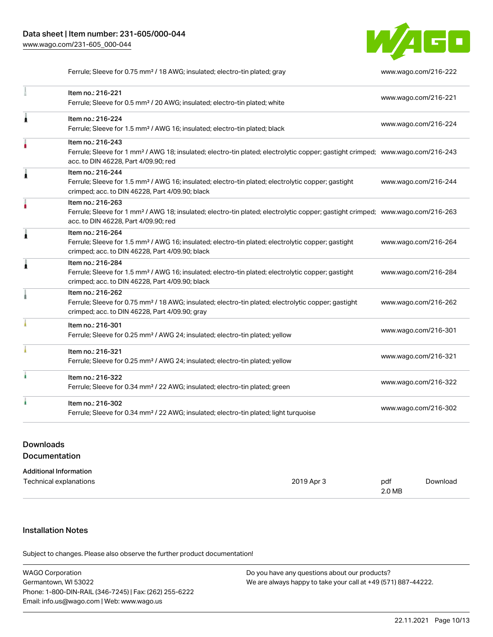

Ferrule; Sleeve for 0.75 mm<sup>2</sup> / 18 AWG; insulated; electro-tin plated; gray [www.wago.com/216-222](http://www.wago.com/216-222)

|   | Item no.: 216-221<br>Ferrule; Sleeve for 0.5 mm <sup>2</sup> / 20 AWG; insulated; electro-tin plated; white                                                                                             | www.wago.com/216-221 |
|---|---------------------------------------------------------------------------------------------------------------------------------------------------------------------------------------------------------|----------------------|
| Â | Item no.: 216-224<br>Ferrule; Sleeve for 1.5 mm <sup>2</sup> / AWG 16; insulated; electro-tin plated; black                                                                                             | www.wago.com/216-224 |
| ۸ | Item no.: 216-243<br>Ferrule; Sleeve for 1 mm <sup>2</sup> / AWG 18; insulated; electro-tin plated; electrolytic copper; gastight crimped; www.wago.com/216-243<br>acc. to DIN 46228, Part 4/09.90; red |                      |
| 1 | Item no.: 216-244<br>Ferrule; Sleeve for 1.5 mm <sup>2</sup> / AWG 16; insulated; electro-tin plated; electrolytic copper; gastight<br>crimped; acc. to DIN 46228, Part 4/09.90; black                  | www.wago.com/216-244 |
|   | Item no.: 216-263<br>Ferrule; Sleeve for 1 mm <sup>2</sup> / AWG 18; insulated; electro-tin plated; electrolytic copper; gastight crimped; www.wago.com/216-263<br>acc. to DIN 46228, Part 4/09.90; red |                      |
| Â | Item no.: 216-264<br>Ferrule; Sleeve for 1.5 mm <sup>2</sup> / AWG 16; insulated; electro-tin plated; electrolytic copper; gastight<br>crimped; acc. to DIN 46228, Part 4/09.90; black                  | www.wago.com/216-264 |
| Ă | Item no.: 216-284<br>Ferrule; Sleeve for 1.5 mm <sup>2</sup> / AWG 16; insulated; electro-tin plated; electrolytic copper; gastight<br>crimped; acc. to DIN 46228, Part 4/09.90; black                  | www.wago.com/216-284 |
|   | Item no.: 216-262<br>Ferrule; Sleeve for 0.75 mm <sup>2</sup> / 18 AWG; insulated; electro-tin plated; electrolytic copper; gastight<br>crimped; acc. to DIN 46228, Part 4/09.90; gray                  | www.wago.com/216-262 |
|   | Item no.: 216-301<br>Ferrule; Sleeve for 0.25 mm <sup>2</sup> / AWG 24; insulated; electro-tin plated; yellow                                                                                           | www.wago.com/216-301 |
|   | Item no.: 216-321<br>Ferrule; Sleeve for 0.25 mm <sup>2</sup> / AWG 24; insulated; electro-tin plated; yellow                                                                                           | www.wago.com/216-321 |
|   | Item no.: 216-322<br>Ferrule; Sleeve for 0.34 mm <sup>2</sup> / 22 AWG; insulated; electro-tin plated; green                                                                                            | www.wago.com/216-322 |
|   | Item no.: 216-302<br>Ferrule; Sleeve for 0.34 mm <sup>2</sup> / 22 AWG; insulated; electro-tin plated; light turquoise                                                                                  | www.wago.com/216-302 |

## Downloads Documentation

| Additional Information |  |
|------------------------|--|
|                        |  |

| Technical explanations | 2019 Apr 3 | pdf    | Download |
|------------------------|------------|--------|----------|
|                        |            | 2.0 MB |          |

## Installation Notes

Subject to changes. Please also observe the further product documentation!

| <b>WAGO Corporation</b>                                | Do you have any questions about our products?                 |  |
|--------------------------------------------------------|---------------------------------------------------------------|--|
| Germantown, WI 53022                                   | We are always happy to take your call at +49 (571) 887-44222. |  |
| Phone: 1-800-DIN-RAIL (346-7245)   Fax: (262) 255-6222 |                                                               |  |
| Email: info.us@wago.com   Web: www.wago.us             |                                                               |  |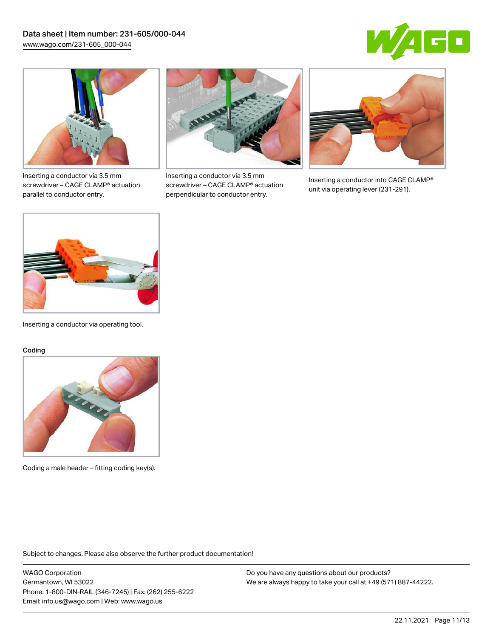



Inserting a conductor via 3.5 mm screwdriver – CAGE CLAMP® actuation parallel to conductor entry.



Inserting a conductor via 3.5 mm screwdriver – CAGE CLAMP® actuation perpendicular to conductor entry.



Inserting a conductor into CAGE CLAMP® unit via operating lever (231-291).



Inserting a conductor via operating tool.

#### Coding



Coding a male header – fitting coding key(s).

Subject to changes. Please also observe the further product documentation!

WAGO Corporation Germantown, WI 53022 Phone: 1-800-DIN-RAIL (346-7245) | Fax: (262) 255-6222 Email: info.us@wago.com | Web: www.wago.us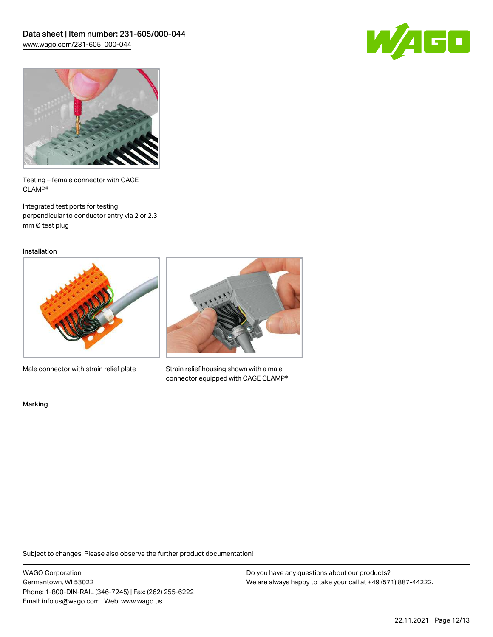



Testing – female connector with CAGE CLAMP®

Integrated test ports for testing perpendicular to conductor entry via 2 or 2.3 mm Ø test plug

Installation



Male connector with strain relief plate



Strain relief housing shown with a male connector equipped with CAGE CLAMP®

Marking

Subject to changes. Please also observe the further product documentation!

WAGO Corporation Germantown, WI 53022 Phone: 1-800-DIN-RAIL (346-7245) | Fax: (262) 255-6222 Email: info.us@wago.com | Web: www.wago.us